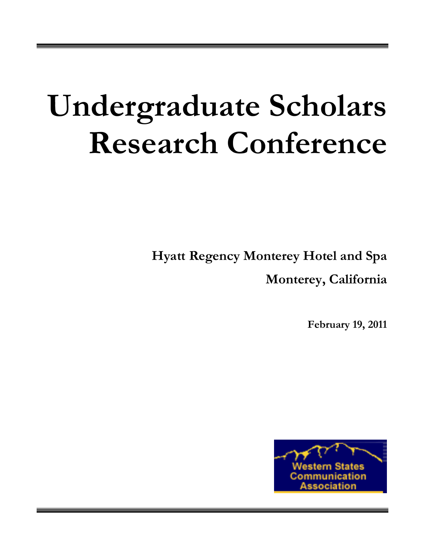# **Undergraduate Scholars Research Conference**

**Hyatt Regency Monterey Hotel and Spa**

**Monterey, California**

**February 19, 2011**

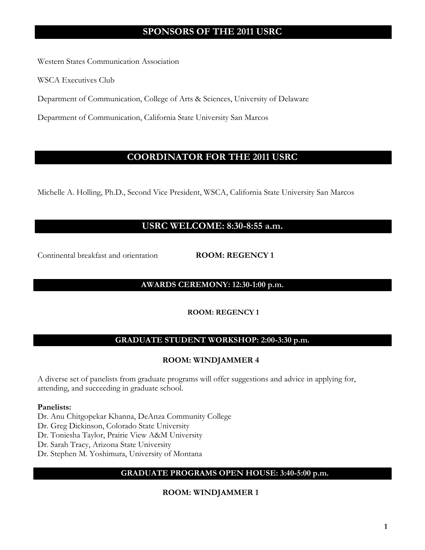# **SPONSORS OF THE 2011 USRC**

Western States Communication Association

WSCA Executives Club

Department of Communication, College of Arts & Sciences, University of Delaware

Department of Communication, California State University San Marcos

# **COORDINATOR FOR THE 2011 USRC**

Michelle A. Holling, Ph.D., Second Vice President, WSCA, California State University San Marcos

# **USRC WELCOME: 8:30-8:55 a.m.**

Continental breakfast and orientation **ROOM: REGENCY 1**

# **AWARDS CEREMONY: 12:30-1:00 p.m.**

# **ROOM: REGENCY 1**

# **GRADUATE STUDENT WORKSHOP: 2:00-3:30 p.m.**

# **ROOM: WINDJAMMER 4**

A diverse set of panelists from graduate programs will offer suggestions and advice in applying for, attending, and succeeding in graduate school.

## **Panelists:**

Dr. Anu Chitgopekar Khanna, DeAnza Community College

Dr. Greg Dickinson, Colorado State University

Dr. Toniesha Taylor, Prairie View A&M University

Dr. Sarah Tracy, Arizona State University

Dr. Stephen M. Yoshimura, University of Montana

# **GRADUATE PROGRAMS OPEN HOUSE: 3:40-5:00 p.m.**

# **ROOM: WINDJAMMER 1**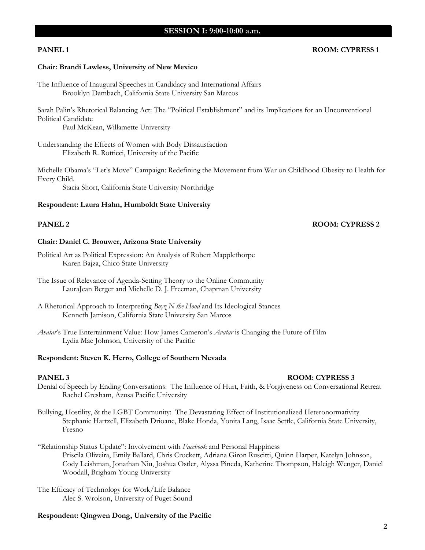# **SESSION I: 9:00-10:00 a.m.**

### **PANEL 1 ROOM: CYPRESS 1**

#### **Chair: Brandi Lawless, University of New Mexico**

The Influence of Inaugural Speeches in Candidacy and International Affairs Brooklyn Dambach, California State University San Marcos

Sarah Palin's Rhetorical Balancing Act: The "Political Establishment" and its Implications for an Unconventional Political Candidate

Paul McKean, Willamette University

Understanding the Effects of Women with Body Dissatisfaction Elizabeth R. Rotticci, University of the Pacific

Michelle Obama's "Let's Move" Campaign: Redefining the Movement from War on Childhood Obesity to Health for Every Child.

Stacia Short, California State University Northridge

#### **Respondent: Laura Hahn, Humboldt State University**

#### **PANEL 2 ROOM: CYPRESS 2**

## **Chair: Daniel C. Brouwer, Arizona State University**

- Political Art as Political Expression: An Analysis of Robert Mapplethorpe Karen Bajza, Chico State University
- The Issue of Relevance of Agenda-Setting Theory to the Online Community LauraJean Berger and Michelle D. J. Freeman, Chapman University
- A Rhetorical Approach to Interpreting *Boyz N the Hood* and Its Ideological Stances Kenneth Jamison, California State University San Marcos
- *Avatar*'s True Entertainment Value: How James Cameron's *Avatar* is Changing the Future of Film Lydia Mae Johnson, University of the Pacific

#### **Respondent: Steven K. Herro, College of Southern Nevada**

#### **PANEL 3 ROOM: CYPRESS 3**

- Denial of Speech by Ending Conversations: The Influence of Hurt, Faith, & Forgiveness on Conversational Retreat Rachel Gresham, Azusa Pacific University
- Bullying, Hostility, & the LGBT Community: The Devastating Effect of Institutionalized Heteronormativity Stephanie Hartzell, Elizabeth Drioane, Blake Honda, Yonita Lang, Isaac Settle, California State University, Fresno
- "Relationship Status Update": Involvement with *Facebook* and Personal Happiness Priscila Oliveira, Emily Ballard, Chris Crockett, Adriana Giron Ruscitti, Quinn Harper, Katelyn Johnson, Cody Leishman, Jonathan Niu, Joshua Ostler, Alyssa Pineda, Katherine Thompson, Haleigh Wenger, Daniel Woodall, Brigham Young University
- The Efficacy of Technology for Work/Life Balance Alec S. Wrolson, University of Puget Sound

#### **Respondent: Qingwen Dong, University of the Pacific**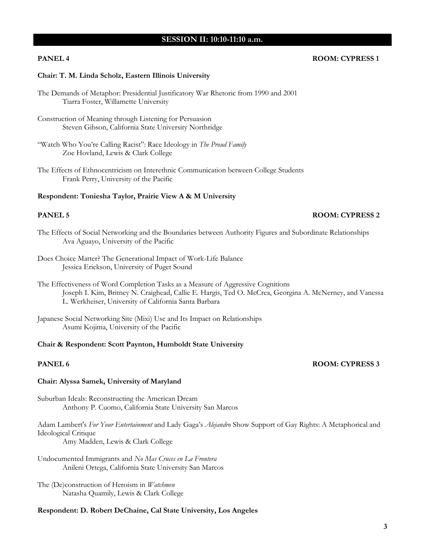## **SESSION II: 10:10-11:10 a.m.**

## **PANEL 4 ROOM: CYPRESS 1**

#### **Chair: T. M. Linda Scholz, Eastern Illinois University**

- The Demands of Metaphor: Presidential Justificatory War Rhetoric from 1990 and 2001 Tiarra Foster, Willamette University
- Construction of Meaning through Listening for Persuasion Steven Gibson, California State University Northridge
- "Watch Who You're Calling Racist": Race Ideology in *The Proud Family* Zoe Hovland, Lewis & Clark College
- The Effects of Ethnocentricism on Interethnic Communication between College Students Frank Perry, University of the Pacific

#### **Respondent: Toniesha Taylor, Prairie View A & M University**

## **PANEL 5 ROOM: CYPRESS 2**

- The Effects of Social Networking and the Boundaries between Authority Figures and Subordinate Relationships Ava Aguayo, University of the Pacific
- Does Choice Matter? The Generational Impact of Work-Life Balance Jessica Erickson, University of Puget Sound

The Effectiveness of Word Completion Tasks as a Measure of Aggressive Cognitions Joseph I. Kim, Britney N. Craighead, Callie E. Hargis, Ted O. McCrea, Georgina A. McNerney, and Vanessa L. Werkheiser, University of California Santa Barbara

Japanese Social Networking Site (Mixi) Use and Its Impact on Relationships Asumi Kojima, University of the Pacific

#### **Chair & Respondent: Scott Paynton, Humboldt State University**

# **PANEL 6 ROOM: CYPRESS 3**

## **Chair: Alyssa Samek, University of Maryland**

Suburban Ideals: Reconstructing the American Dream Anthony P. Cuomo, California State University San Marcos

Adam Lambert's *For Your Entertainment* and Lady Gaga's *Alejandro* Show Support of Gay Rights: A Metaphorical and Ideological Critique

Amy Madden, Lewis & Clark College

Undocumented Immigrants and *No Mas Cruces en La Frontera* Anileni Ortega, California State University San Marcos

The (De)construction of Heroism in *Watchmen* Natasha Quamily, Lewis & Clark College

#### **Respondent: D. Robert DeChaine, Cal State University, Los Angeles**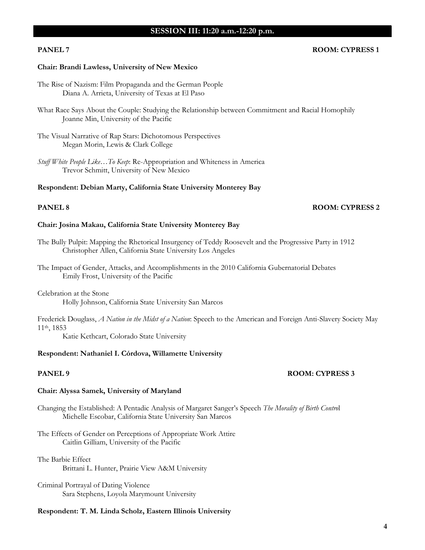# **SESSION III: 11:20 a.m.-12:20 p.m.**

## **PANEL 7 ROOM: CYPRESS 1**

#### **Chair: Brandi Lawless, University of New Mexico**

- The Rise of Nazism: Film Propaganda and the German People Diana A. Arrieta, University of Texas at El Paso
- What Race Says About the Couple: Studying the Relationship between Commitment and Racial Homophily Joanne Min, University of the Pacific
- The Visual Narrative of Rap Stars: Dichotomous Perspectives Megan Morin, Lewis & Clark College
- *Stuff White People Like…To Keep*: Re-Appropriation and Whiteness in America Trevor Schmitt, University of New Mexico

### **Respondent: Debian Marty, California State University Monterey Bay**

#### **PANEL 8 ROOM: CYPRESS 2**

## **Chair: Josina Makau, California State University Monterey Bay**

- The Bully Pulpit: Mapping the Rhetorical Insurgency of Teddy Roosevelt and the Progressive Party in 1912 Christopher Allen, California State University Los Angeles
- The Impact of Gender, Attacks, and Accomplishments in the 2010 California Gubernatorial Debates Emily Frost, University of the Pacific

Celebration at the Stone Holly Johnson, California State University San Marcos

Frederick Douglass, *A Nation in the Midst of a Nation*: Speech to the American and Foreign Anti-Slavery Society May 11th, 1853

Katie Kethcart, Colorado State University

#### **Respondent: Nathaniel I. Córdova, Willamette University**

#### **PANEL 9 ROOM: CYPRESS 3**

## **Chair: Alyssa Samek, University of Maryland**

Changing the Established: A Pentadic Analysis of Margaret Sanger's Speech *The Morality of Birth Contro*l Michelle Escobar, California State University San Marcos

The Effects of Gender on Perceptions of Appropriate Work Attire Caitlin Gilliam, University of the Pacific

The Barbie Effect Brittani L. Hunter, Prairie View A&M University

Criminal Portrayal of Dating Violence Sara Stephens, Loyola Marymount University

## **Respondent: T. M. Linda Scholz, Eastern Illinois University**